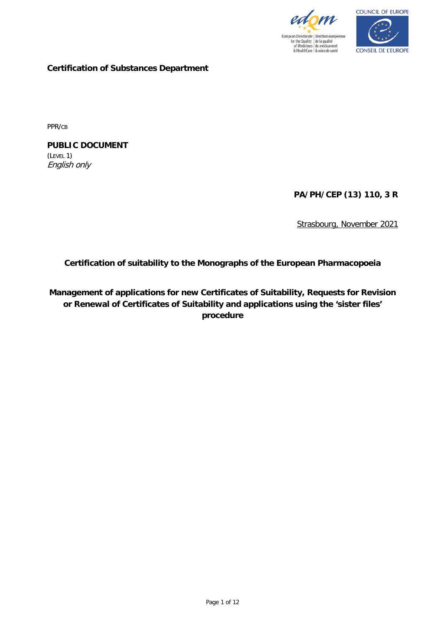



**Certification of Substances Department**

PPR/CB

**PUBLIC DOCUMENT** (LEVEL 1) English only

**PA/PH/CEP (13) 110, 3 R**

Strasbourg, November 2021

**Certification of suitability to the Monographs of the European Pharmacopoeia**

**Management of applications for new Certificates of Suitability, Requests for Revision or Renewal of Certificates of Suitability and applications using the 'sister files' procedure**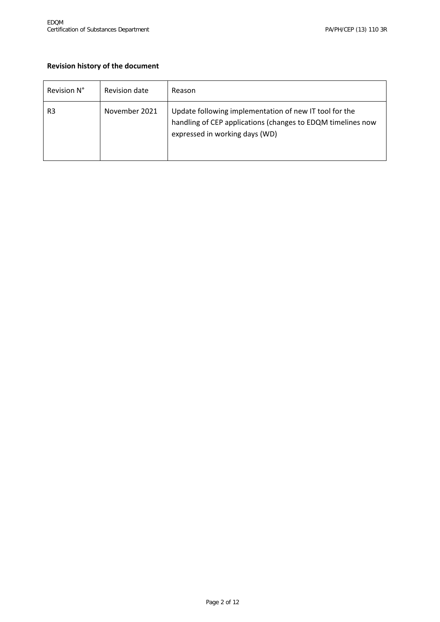# **Revision history of the document**

| Revision N°    | Revision date | Reason                                                                                                                                                  |
|----------------|---------------|---------------------------------------------------------------------------------------------------------------------------------------------------------|
| R <sub>3</sub> | November 2021 | Update following implementation of new IT tool for the<br>handling of CEP applications (changes to EDQM timelines now<br>expressed in working days (WD) |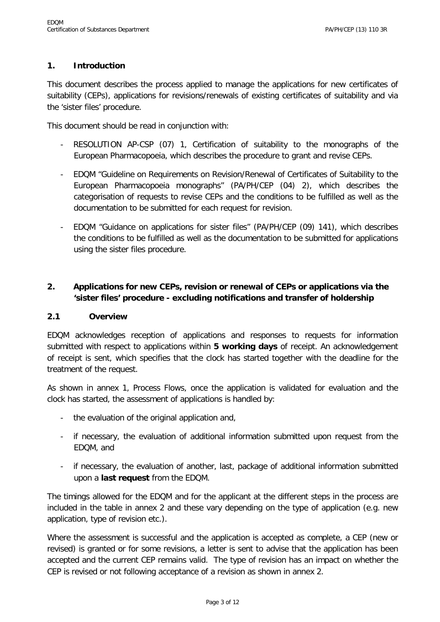### **1. Introduction**

This document describes the process applied to manage the applications for new certificates of suitability (CEPs), applications for revisions/renewals of existing certificates of suitability and via the 'sister files' procedure.

This document should be read in conjunction with:

- RESOLUTION AP-CSP (07) 1, Certification of suitability to the monographs of the European Pharmacopoeia, which describes the procedure to grant and revise CEPs.
- EDQM "Guideline on Requirements on Revision/Renewal of Certificates of Suitability to the European Pharmacopoeia monographs" (PA/PH/CEP (04) 2), which describes the categorisation of requests to revise CEPs and the conditions to be fulfilled as well as the documentation to be submitted for each request for revision.
- EDQM "Guidance on applications for sister files" (PA/PH/CEP (09) 141), which describes the conditions to be fulfilled as well as the documentation to be submitted for applications using the sister files procedure.

# **2. Applications for new CEPs, revision or renewal of CEPs or applications via the 'sister files' procedure - excluding notifications and transfer of holdership**

#### **2.1 Overview**

EDQM acknowledges reception of applications and responses to requests for information submitted with respect to applications within **5 working days** of receipt. An acknowledgement of receipt is sent, which specifies that the clock has started together with the deadline for the treatment of the request.

As shown in annex 1, Process Flows, once the application is validated for evaluation and the clock has started, the assessment of applications is handled by:

- the evaluation of the original application and,
- if necessary, the evaluation of additional information submitted upon request from the EDQM, and
- if necessary, the evaluation of another, last, package of additional information submitted upon a **last request** from the EDQM.

The timings allowed for the EDQM and for the applicant at the different steps in the process are included in the table in annex 2 and these vary depending on the type of application (e.g. new application, type of revision etc.).

Where the assessment is successful and the application is accepted as complete, a CEP (new or revised) is granted or for some revisions, a letter is sent to advise that the application has been accepted and the current CEP remains valid. The type of revision has an impact on whether the CEP is revised or not following acceptance of a revision as shown in annex 2.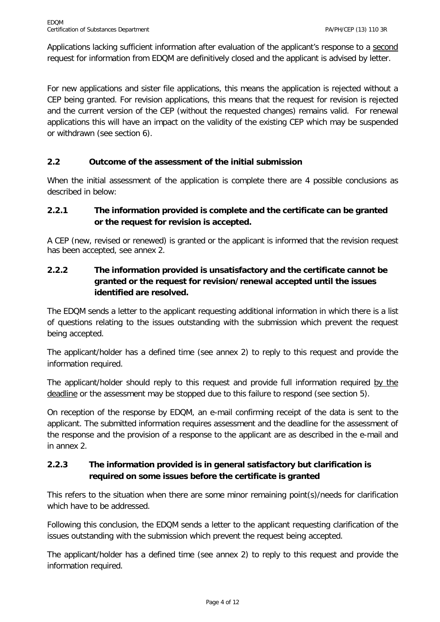Applications lacking sufficient information after evaluation of the applicant's response to a second request for information from EDQM are definitively closed and the applicant is advised by letter.

For new applications and sister file applications, this means the application is rejected without a CEP being granted. For revision applications, this means that the request for revision is rejected and the current version of the CEP (without the requested changes) remains valid. For renewal applications this will have an impact on the validity of the existing CEP which may be suspended or withdrawn (see section 6).

### **2.2 Outcome of the assessment of the initial submission**

When the initial assessment of the application is complete there are 4 possible conclusions as described in below:

## **2.2.1 The information provided is complete and the certificate can be granted or the request for revision is accepted.**

A CEP (new, revised or renewed) is granted or the applicant is informed that the revision request has been accepted, see annex 2.

# **2.2.2 The information provided is unsatisfactory and the certificate cannot be granted or the request for revision/renewal accepted until the issues identified are resolved.**

The EDQM sends a letter to the applicant requesting additional information in which there is a list of questions relating to the issues outstanding with the submission which prevent the request being accepted.

The applicant/holder has a defined time (see annex 2) to reply to this request and provide the information required.

The applicant/holder should reply to this request and provide full information required by the deadline or the assessment may be stopped due to this failure to respond (see section 5).

On reception of the response by EDQM, an e-mail confirming receipt of the data is sent to the applicant. The submitted information requires assessment and the deadline for the assessment of the response and the provision of a response to the applicant are as described in the e-mail and in annex 2.

# **2.2.3 The information provided is in general satisfactory but clarification is required on some issues before the certificate is granted**

This refers to the situation when there are some minor remaining point(s)/needs for clarification which have to be addressed.

Following this conclusion, the EDQM sends a letter to the applicant requesting clarification of the issues outstanding with the submission which prevent the request being accepted.

The applicant/holder has a defined time (see annex 2) to reply to this request and provide the information required.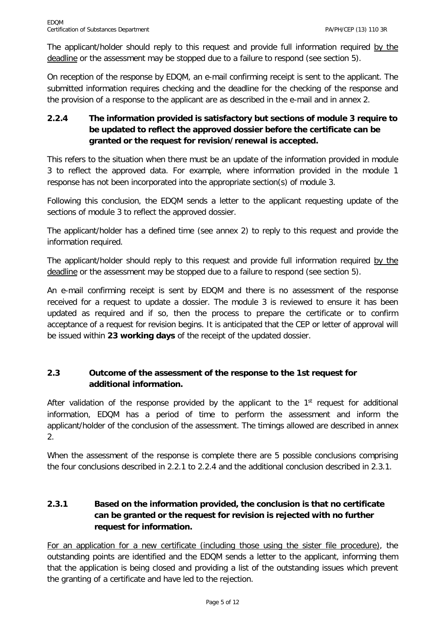The applicant/holder should reply to this request and provide full information required by the deadline or the assessment may be stopped due to a failure to respond (see section 5).

On reception of the response by EDQM, an e-mail confirming receipt is sent to the applicant. The submitted information requires checking and the deadline for the checking of the response and the provision of a response to the applicant are as described in the e-mail and in annex 2.

# **2.2.4 The information provided is satisfactory but sections of module 3 require to be updated to reflect the approved dossier before the certificate can be granted or the request for revision/renewal is accepted.**

This refers to the situation when there must be an update of the information provided in module 3 to reflect the approved data. For example, where information provided in the module 1 response has not been incorporated into the appropriate section(s) of module 3.

Following this conclusion, the EDQM sends a letter to the applicant requesting update of the sections of module 3 to reflect the approved dossier.

The applicant/holder has a defined time (see annex 2) to reply to this request and provide the information required.

The applicant/holder should reply to this request and provide full information required by the deadline or the assessment may be stopped due to a failure to respond (see section 5).

An e-mail confirming receipt is sent by EDQM and there is no assessment of the response received for a request to update a dossier. The module 3 is reviewed to ensure it has been updated as required and if so, then the process to prepare the certificate or to confirm acceptance of a request for revision begins. It is anticipated that the CEP or letter of approval will be issued within **23 working days** of the receipt of the updated dossier.

# **2.3 Outcome of the assessment of the response to the 1st request for additional information.**

After validation of the response provided by the applicant to the  $1<sup>st</sup>$  request for additional information, EDQM has a period of time to perform the assessment and inform the applicant/holder of the conclusion of the assessment. The timings allowed are described in annex 2.

When the assessment of the response is complete there are 5 possible conclusions comprising the four conclusions described in 2.2.1 to 2.2.4 and the additional conclusion described in 2.3.1.

# **2.3.1 Based on the information provided, the conclusion is that no certificate can be granted or the request for revision is rejected with no further request for information.**

For an application for a new certificate (including those using the sister file procedure), the outstanding points are identified and the EDQM sends a letter to the applicant, informing them that the application is being closed and providing a list of the outstanding issues which prevent the granting of a certificate and have led to the rejection.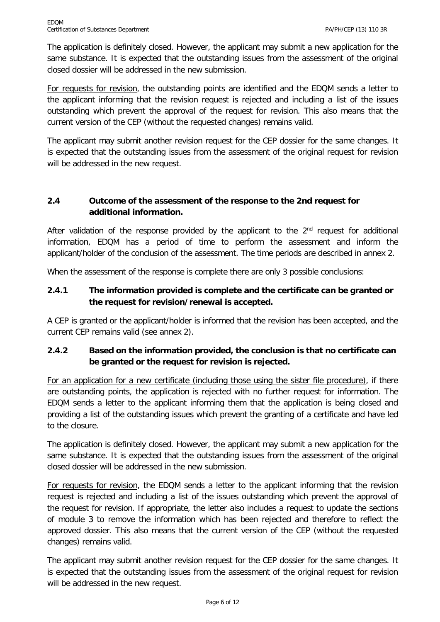The application is definitely closed. However, the applicant may submit a new application for the same substance. It is expected that the outstanding issues from the assessment of the original closed dossier will be addressed in the new submission.

For requests for revision, the outstanding points are identified and the EDQM sends a letter to the applicant informing that the revision request is rejected and including a list of the issues outstanding which prevent the approval of the request for revision. This also means that the current version of the CEP (without the requested changes) remains valid.

The applicant may submit another revision request for the CEP dossier for the same changes. It is expected that the outstanding issues from the assessment of the original request for revision will be addressed in the new request.

# **2.4 Outcome of the assessment of the response to the 2nd request for additional information.**

After validation of the response provided by the applicant to the  $2<sup>nd</sup>$  request for additional information, EDQM has a period of time to perform the assessment and inform the applicant/holder of the conclusion of the assessment. The time periods are described in annex 2.

When the assessment of the response is complete there are only 3 possible conclusions:

## **2.4.1 The information provided is complete and the certificate can be granted or the request for revision/renewal is accepted.**

A CEP is granted or the applicant/holder is informed that the revision has been accepted, and the current CEP remains valid (see annex 2).

### **2.4.2 Based on the information provided, the conclusion is that no certificate can be granted or the request for revision is rejected.**

For an application for a new certificate (including those using the sister file procedure), if there are outstanding points, the application is rejected with no further request for information. The EDQM sends a letter to the applicant informing them that the application is being closed and providing a list of the outstanding issues which prevent the granting of a certificate and have led to the closure.

The application is definitely closed. However, the applicant may submit a new application for the same substance. It is expected that the outstanding issues from the assessment of the original closed dossier will be addressed in the new submission.

For requests for revision, the EDQM sends a letter to the applicant informing that the revision request is rejected and including a list of the issues outstanding which prevent the approval of the request for revision. If appropriate, the letter also includes a request to update the sections of module 3 to remove the information which has been rejected and therefore to reflect the approved dossier. This also means that the current version of the CEP (without the requested changes) remains valid.

The applicant may submit another revision request for the CEP dossier for the same changes. It is expected that the outstanding issues from the assessment of the original request for revision will be addressed in the new request.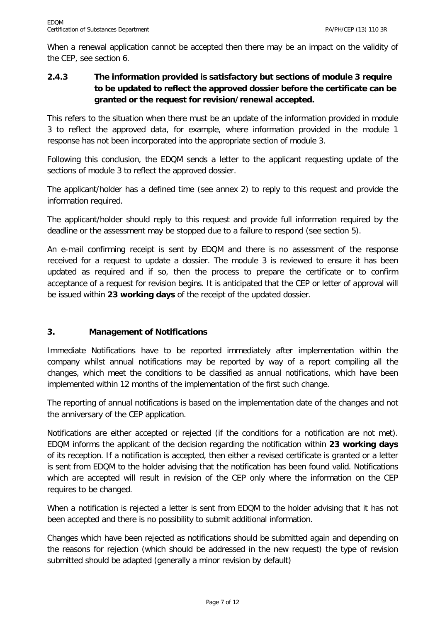When a renewal application cannot be accepted then there may be an impact on the validity of the CEP, see section 6.

# **2.4.3 The information provided is satisfactory but sections of module 3 require to be updated to reflect the approved dossier before the certificate can be granted or the request for revision/renewal accepted.**

This refers to the situation when there must be an update of the information provided in module 3 to reflect the approved data, for example, where information provided in the module 1 response has not been incorporated into the appropriate section of module 3.

Following this conclusion, the EDQM sends a letter to the applicant requesting update of the sections of module 3 to reflect the approved dossier.

The applicant/holder has a defined time (see annex 2) to reply to this request and provide the information required.

The applicant/holder should reply to this request and provide full information required by the deadline or the assessment may be stopped due to a failure to respond (see section 5).

An e-mail confirming receipt is sent by EDQM and there is no assessment of the response received for a request to update a dossier. The module 3 is reviewed to ensure it has been updated as required and if so, then the process to prepare the certificate or to confirm acceptance of a request for revision begins. It is anticipated that the CEP or letter of approval will be issued within **23 working days** of the receipt of the updated dossier.

### **3. Management of Notifications**

Immediate Notifications have to be reported immediately after implementation within the company whilst annual notifications may be reported by way of a report compiling all the changes, which meet the conditions to be classified as annual notifications, which have been implemented within 12 months of the implementation of the first such change.

The reporting of annual notifications is based on the implementation date of the changes and not the anniversary of the CEP application.

Notifications are either accepted or rejected (if the conditions for a notification are not met). EDQM informs the applicant of the decision regarding the notification within **23 working days** of its reception. If a notification is accepted, then either a revised certificate is granted or a letter is sent from EDQM to the holder advising that the notification has been found valid. Notifications which are accepted will result in revision of the CEP only where the information on the CEP requires to be changed.

When a notification is rejected a letter is sent from EDQM to the holder advising that it has not been accepted and there is no possibility to submit additional information.

Changes which have been rejected as notifications should be submitted again and depending on the reasons for rejection (which should be addressed in the new request) the type of revision submitted should be adapted (generally a minor revision by default)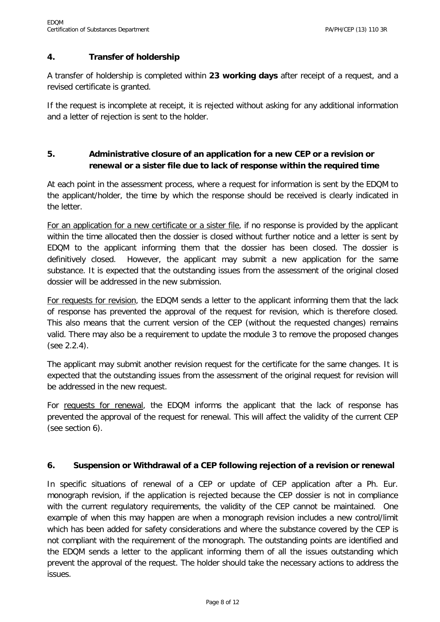### **4. Transfer of holdership**

A transfer of holdership is completed within **23 working days** after receipt of a request, and a revised certificate is granted.

If the request is incomplete at receipt, it is rejected without asking for any additional information and a letter of rejection is sent to the holder.

### **5. Administrative closure of an application for a new CEP or a revision or renewal or a sister file due to lack of response within the required time**

At each point in the assessment process, where a request for information is sent by the EDQM to the applicant/holder, the time by which the response should be received is clearly indicated in the letter.

For an application for a new certificate or a sister file, if no response is provided by the applicant within the time allocated then the dossier is closed without further notice and a letter is sent by EDQM to the applicant informing them that the dossier has been closed. The dossier is definitively closed. However, the applicant may submit a new application for the same substance. It is expected that the outstanding issues from the assessment of the original closed dossier will be addressed in the new submission.

For requests for revision, the EDQM sends a letter to the applicant informing them that the lack of response has prevented the approval of the request for revision, which is therefore closed. This also means that the current version of the CEP (without the requested changes) remains valid. There may also be a requirement to update the module 3 to remove the proposed changes (see 2.2.4).

The applicant may submit another revision request for the certificate for the same changes. It is expected that the outstanding issues from the assessment of the original request for revision will be addressed in the new request.

For requests for renewal, the EDQM informs the applicant that the lack of response has prevented the approval of the request for renewal. This will affect the validity of the current CEP (see section 6).

#### **6. Suspension or Withdrawal of a CEP following rejection of a revision or renewal**

In specific situations of renewal of a CEP or update of CEP application after a Ph. Eur. monograph revision, if the application is rejected because the CEP dossier is not in compliance with the current regulatory requirements, the validity of the CEP cannot be maintained. One example of when this may happen are when a monograph revision includes a new control/limit which has been added for safety considerations and where the substance covered by the CEP is not compliant with the requirement of the monograph. The outstanding points are identified and the EDQM sends a letter to the applicant informing them of all the issues outstanding which prevent the approval of the request. The holder should take the necessary actions to address the issues.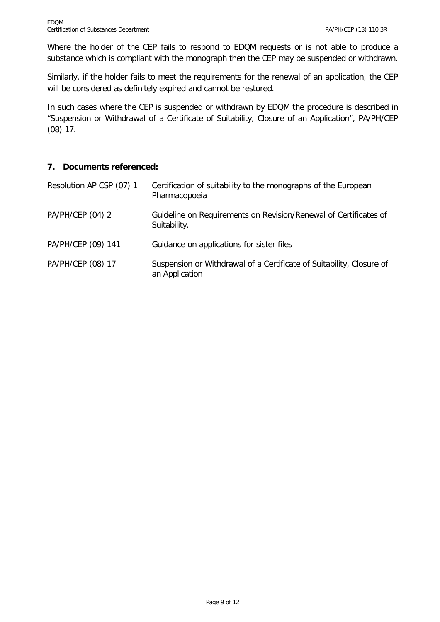Where the holder of the CEP fails to respond to EDQM requests or is not able to produce a substance which is compliant with the monograph then the CEP may be suspended or withdrawn.

Similarly, if the holder fails to meet the requirements for the renewal of an application, the CEP will be considered as definitely expired and cannot be restored.

In such cases where the CEP is suspended or withdrawn by EDQM the procedure is described in "Suspension or Withdrawal of a Certificate of Suitability, Closure of an Application", PA/PH/CEP (08) 17.

### **7. Documents referenced:**

| Resolution AP CSP (07) 1 | Certification of suitability to the monographs of the European<br>Pharmacopoeia        |
|--------------------------|----------------------------------------------------------------------------------------|
| PA/PH/CEP (04) 2         | Guideline on Requirements on Revision/Renewal of Certificates of<br>Suitability.       |
| PA/PH/CEP (09) 141       | Guidance on applications for sister files                                              |
| PA/PH/CEP (08) 17        | Suspension or Withdrawal of a Certificate of Suitability, Closure of<br>an Application |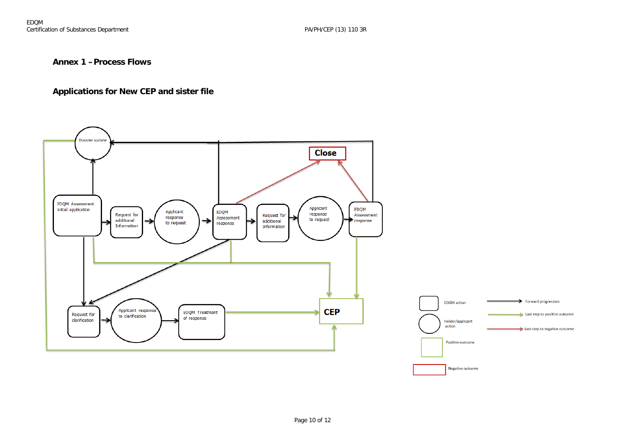#### **Annex 1 –Process Flows**

#### **Applications for New CEP and sister file**

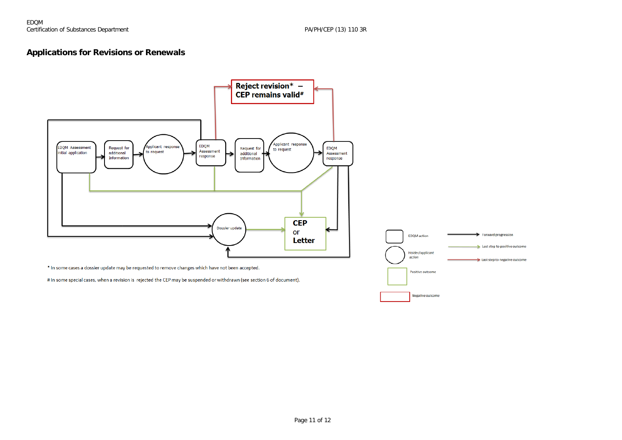#### **Applications for Revisions or Renewals**